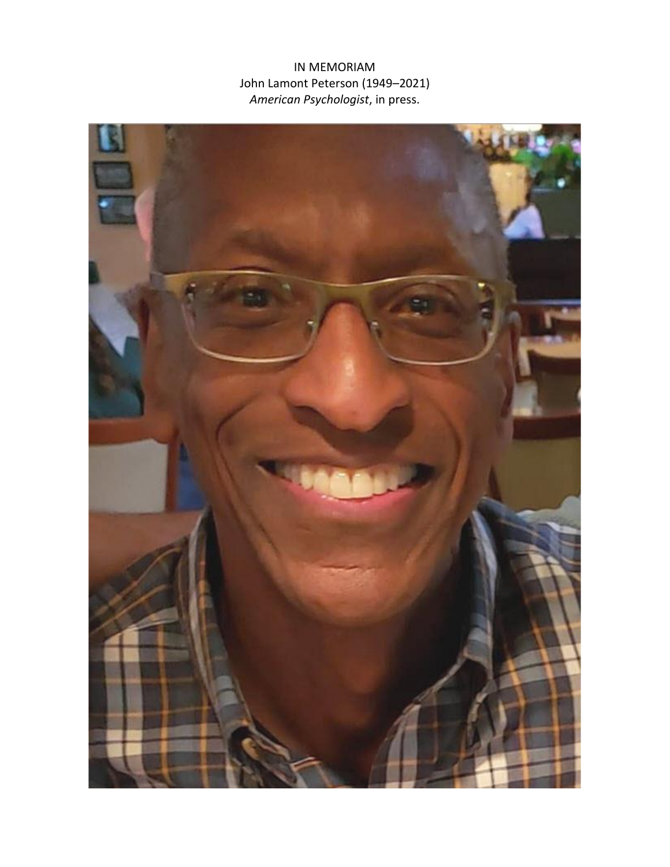IN MEMORIAM John Lamont Peterson (1949–2021) *American Psychologist*, in press.